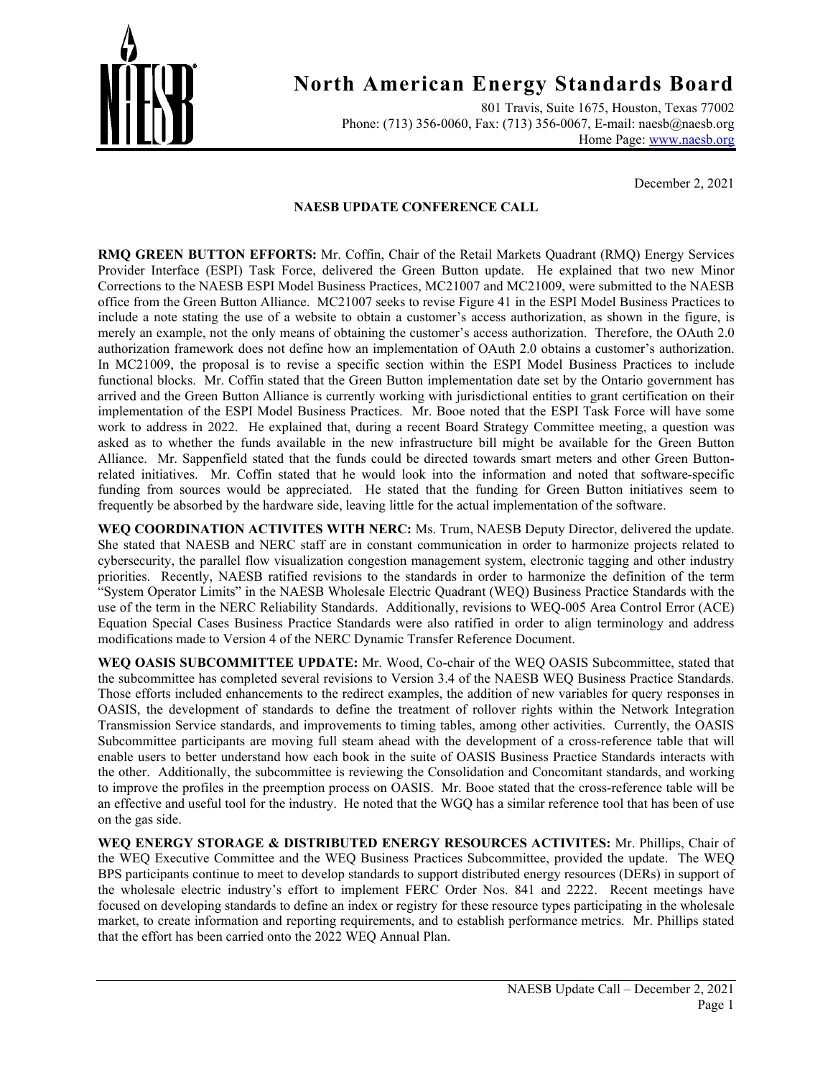

801 Travis, Suite 1675, Houston, Texas 77002 Phone: (713) 356-0060, Fax: (713) 356-0067, E-mail: naesb@naesb.org Home Page: [www.naesb.org](http://www.naesb.org/)

December 2, 2021

#### **NAESB UPDATE CONFERENCE CALL**

**RMQ GREEN BUTTON EFFORTS:** Mr. Coffin, Chair of the Retail Markets Quadrant (RMQ) Energy Services Provider Interface (ESPI) Task Force, delivered the Green Button update. He explained that two new Minor Corrections to the NAESB ESPI Model Business Practices, MC21007 and MC21009, were submitted to the NAESB office from the Green Button Alliance. MC21007 seeks to revise Figure 41 in the ESPI Model Business Practices to include a note stating the use of a website to obtain a customer's access authorization, as shown in the figure, is merely an example, not the only means of obtaining the customer's access authorization. Therefore, the OAuth 2.0 authorization framework does not define how an implementation of OAuth 2.0 obtains a customer's authorization. In MC21009, the proposal is to revise a specific section within the ESPI Model Business Practices to include functional blocks. Mr. Coffin stated that the Green Button implementation date set by the Ontario government has arrived and the Green Button Alliance is currently working with jurisdictional entities to grant certification on their implementation of the ESPI Model Business Practices. Mr. Booe noted that the ESPI Task Force will have some work to address in 2022. He explained that, during a recent Board Strategy Committee meeting, a question was asked as to whether the funds available in the new infrastructure bill might be available for the Green Button Alliance. Mr. Sappenfield stated that the funds could be directed towards smart meters and other Green Buttonrelated initiatives. Mr. Coffin stated that he would look into the information and noted that software-specific funding from sources would be appreciated. He stated that the funding for Green Button initiatives seem to frequently be absorbed by the hardware side, leaving little for the actual implementation of the software.

**WEQ COORDINATION ACTIVITES WITH NERC:** Ms. Trum, NAESB Deputy Director, delivered the update. She stated that NAESB and NERC staff are in constant communication in order to harmonize projects related to cybersecurity, the parallel flow visualization congestion management system, electronic tagging and other industry priorities. Recently, NAESB ratified revisions to the standards in order to harmonize the definition of the term "System Operator Limits" in the NAESB Wholesale Electric Quadrant (WEQ) Business Practice Standards with the use of the term in the NERC Reliability Standards. Additionally, revisions to WEQ-005 Area Control Error (ACE) Equation Special Cases Business Practice Standards were also ratified in order to align terminology and address modifications made to Version 4 of the NERC Dynamic Transfer Reference Document.

**WEQ OASIS SUBCOMMITTEE UPDATE:** Mr. Wood, Co-chair of the WEQ OASIS Subcommittee, stated that the subcommittee has completed several revisions to Version 3.4 of the NAESB WEQ Business Practice Standards. Those efforts included enhancements to the redirect examples, the addition of new variables for query responses in OASIS, the development of standards to define the treatment of rollover rights within the Network Integration Transmission Service standards, and improvements to timing tables, among other activities. Currently, the OASIS Subcommittee participants are moving full steam ahead with the development of a cross-reference table that will enable users to better understand how each book in the suite of OASIS Business Practice Standards interacts with the other. Additionally, the subcommittee is reviewing the Consolidation and Concomitant standards, and working to improve the profiles in the preemption process on OASIS. Mr. Booe stated that the cross-reference table will be an effective and useful tool for the industry. He noted that the WGQ has a similar reference tool that has been of use on the gas side.

**WEQ ENERGY STORAGE & DISTRIBUTED ENERGY RESOURCES ACTIVITES:** Mr. Phillips, Chair of the WEQ Executive Committee and the WEQ Business Practices Subcommittee, provided the update. The WEQ BPS participants continue to meet to develop standards to support distributed energy resources (DERs) in support of the wholesale electric industry's effort to implement FERC Order Nos. 841 and 2222. Recent meetings have focused on developing standards to define an index or registry for these resource types participating in the wholesale market, to create information and reporting requirements, and to establish performance metrics. Mr. Phillips stated that the effort has been carried onto the 2022 WEQ Annual Plan.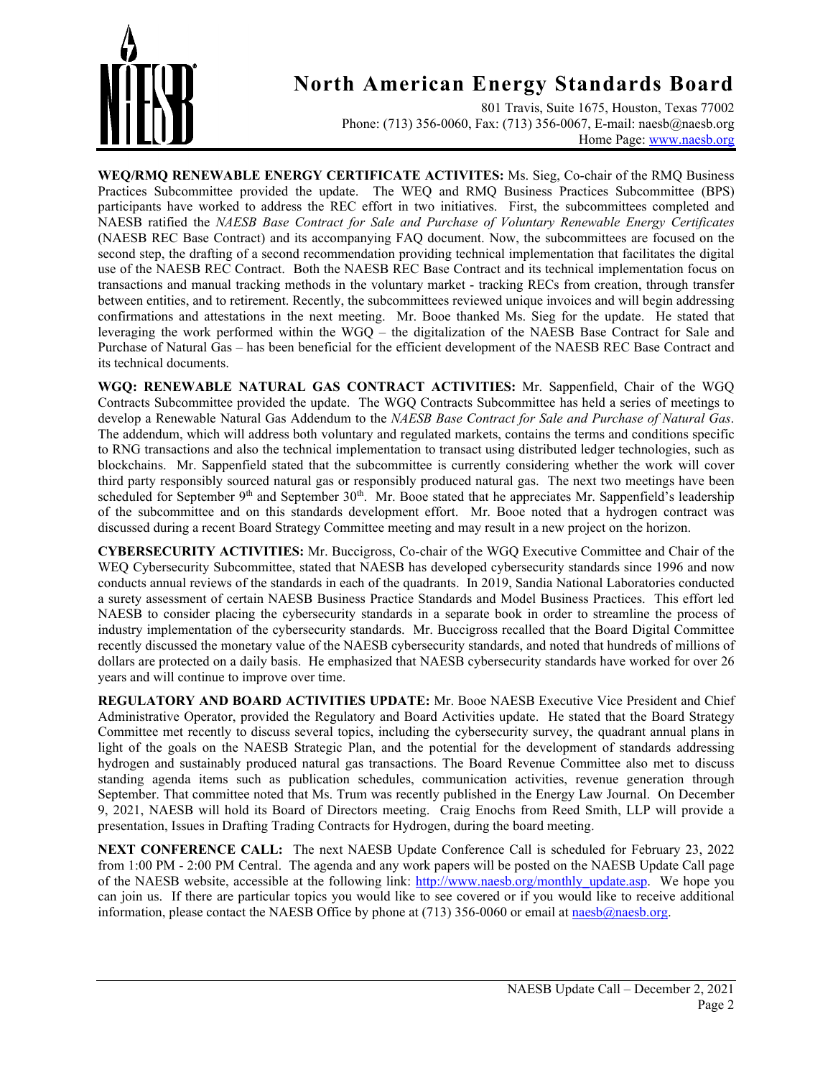

801 Travis, Suite 1675, Houston, Texas 77002 Phone: (713) 356-0060, Fax: (713) 356-0067, E-mail: naesb@naesb.org Home Page: [www.naesb.org](http://www.naesb.org/)

**WEQ/RMQ RENEWABLE ENERGY CERTIFICATE ACTIVITES:** Ms. Sieg, Co-chair of the RMQ Business Practices Subcommittee provided the update. The WEQ and RMQ Business Practices Subcommittee (BPS) participants have worked to address the REC effort in two initiatives. First, the subcommittees completed and NAESB ratified the *NAESB Base Contract for Sale and Purchase of Voluntary Renewable Energy Certificates* (NAESB REC Base Contract) and its accompanying FAQ document. Now, the subcommittees are focused on the second step, the drafting of a second recommendation providing technical implementation that facilitates the digital use of the NAESB REC Contract. Both the NAESB REC Base Contract and its technical implementation focus on transactions and manual tracking methods in the voluntary market - tracking RECs from creation, through transfer between entities, and to retirement. Recently, the subcommittees reviewed unique invoices and will begin addressing confirmations and attestations in the next meeting. Mr. Booe thanked Ms. Sieg for the update. He stated that leveraging the work performed within the WGQ – the digitalization of the NAESB Base Contract for Sale and Purchase of Natural Gas – has been beneficial for the efficient development of the NAESB REC Base Contract and its technical documents.

**WGQ: RENEWABLE NATURAL GAS CONTRACT ACTIVITIES:** Mr. Sappenfield, Chair of the WGQ Contracts Subcommittee provided the update. The WGQ Contracts Subcommittee has held a series of meetings to develop a Renewable Natural Gas Addendum to the *NAESB Base Contract for Sale and Purchase of Natural Gas*. The addendum, which will address both voluntary and regulated markets, contains the terms and conditions specific to RNG transactions and also the technical implementation to transact using distributed ledger technologies, such as blockchains. Mr. Sappenfield stated that the subcommittee is currently considering whether the work will cover third party responsibly sourced natural gas or responsibly produced natural gas. The next two meetings have been scheduled for September 9<sup>th</sup> and September 30<sup>th</sup>. Mr. Booe stated that he appreciates Mr. Sappenfield's leadership of the subcommittee and on this standards development effort. Mr. Booe noted that a hydrogen contract was discussed during a recent Board Strategy Committee meeting and may result in a new project on the horizon.

**CYBERSECURITY ACTIVITIES:** Mr. Buccigross, Co-chair of the WGQ Executive Committee and Chair of the WEQ Cybersecurity Subcommittee, stated that NAESB has developed cybersecurity standards since 1996 and now conducts annual reviews of the standards in each of the quadrants. In 2019, Sandia National Laboratories conducted a surety assessment of certain NAESB Business Practice Standards and Model Business Practices. This effort led NAESB to consider placing the cybersecurity standards in a separate book in order to streamline the process of industry implementation of the cybersecurity standards. Mr. Buccigross recalled that the Board Digital Committee recently discussed the monetary value of the NAESB cybersecurity standards, and noted that hundreds of millions of dollars are protected on a daily basis. He emphasized that NAESB cybersecurity standards have worked for over 26 years and will continue to improve over time.

**REGULATORY AND BOARD ACTIVITIES UPDATE:** Mr. Booe NAESB Executive Vice President and Chief Administrative Operator, provided the Regulatory and Board Activities update. He stated that the Board Strategy Committee met recently to discuss several topics, including the cybersecurity survey, the quadrant annual plans in light of the goals on the NAESB Strategic Plan, and the potential for the development of standards addressing hydrogen and sustainably produced natural gas transactions. The Board Revenue Committee also met to discuss standing agenda items such as publication schedules, communication activities, revenue generation through September. That committee noted that Ms. Trum was recently published in the Energy Law Journal. On December 9, 2021, NAESB will hold its Board of Directors meeting. Craig Enochs from Reed Smith, LLP will provide a presentation, Issues in Drafting Trading Contracts for Hydrogen, during the board meeting.

**NEXT CONFERENCE CALL:** The next NAESB Update Conference Call is scheduled for February 23, 2022 from 1:00 PM - 2:00 PM Central. The agenda and any work papers will be posted on the NAESB Update Call page of the NAESB website, accessible at the following link: [http://www.naesb.org/monthly\\_update.asp.](http://www.naesb.org/monthly_update.asp) We hope you can join us. If there are particular topics you would like to see covered or if you would like to receive additional information, please contact the NAESB Office by phone at (713) 356-0060 or email a[t naesb@naesb.org.](mailto:naesb@naesb.org)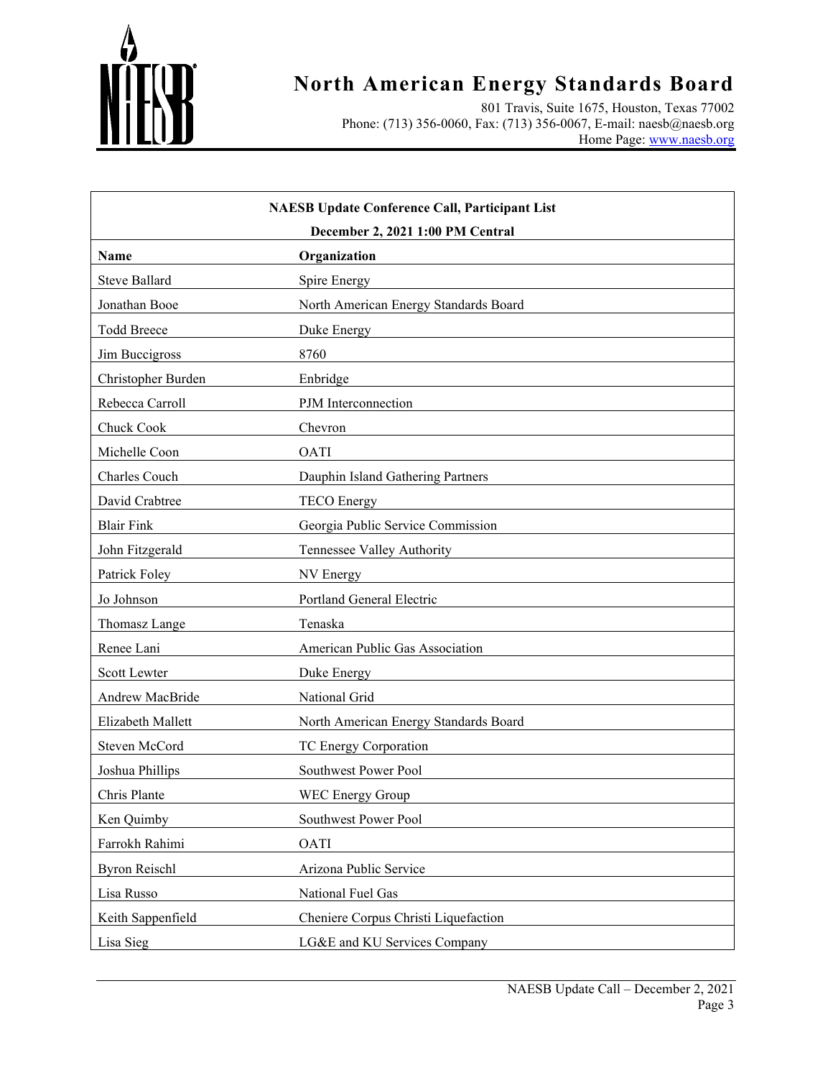

801 Travis, Suite 1675, Houston, Texas 77002 Phone: (713) 356-0060, Fax: (713) 356-0067, E-mail: naesb@naesb.org Home Page: [www.naesb.org](http://www.naesb.org/)

| <b>NAESB Update Conference Call, Participant List</b><br>December 2, 2021 1:00 PM Central |                                       |  |
|-------------------------------------------------------------------------------------------|---------------------------------------|--|
| <b>Name</b>                                                                               | Organization                          |  |
| <b>Steve Ballard</b>                                                                      | Spire Energy                          |  |
| Jonathan Booe                                                                             | North American Energy Standards Board |  |
| <b>Todd Breece</b>                                                                        | Duke Energy                           |  |
| Jim Buccigross                                                                            | 8760                                  |  |
| Christopher Burden                                                                        | Enbridge                              |  |
| Rebecca Carroll                                                                           | PJM Interconnection                   |  |
| Chuck Cook                                                                                | Chevron                               |  |
| Michelle Coon                                                                             | <b>OATI</b>                           |  |
| Charles Couch                                                                             | Dauphin Island Gathering Partners     |  |
| David Crabtree                                                                            | <b>TECO</b> Energy                    |  |
| <b>Blair Fink</b>                                                                         | Georgia Public Service Commission     |  |
| John Fitzgerald                                                                           | Tennessee Valley Authority            |  |
| Patrick Foley                                                                             | NV Energy                             |  |
| Jo Johnson                                                                                | Portland General Electric             |  |
| Thomasz Lange                                                                             | Tenaska                               |  |
| Renee Lani                                                                                | American Public Gas Association       |  |
| Scott Lewter                                                                              | Duke Energy                           |  |
| Andrew MacBride                                                                           | National Grid                         |  |
| Elizabeth Mallett                                                                         | North American Energy Standards Board |  |
| Steven McCord                                                                             | TC Energy Corporation                 |  |
| Joshua Phillips                                                                           | Southwest Power Pool                  |  |
| Chris Plante                                                                              | <b>WEC Energy Group</b>               |  |
| Ken Quimby                                                                                | Southwest Power Pool                  |  |
| Farrokh Rahimi                                                                            | <b>OATI</b>                           |  |
| <b>Byron Reischl</b>                                                                      | Arizona Public Service                |  |
| Lisa Russo                                                                                | National Fuel Gas                     |  |
| Keith Sappenfield                                                                         | Cheniere Corpus Christi Liquefaction  |  |
| Lisa Sieg                                                                                 | LG&E and KU Services Company          |  |